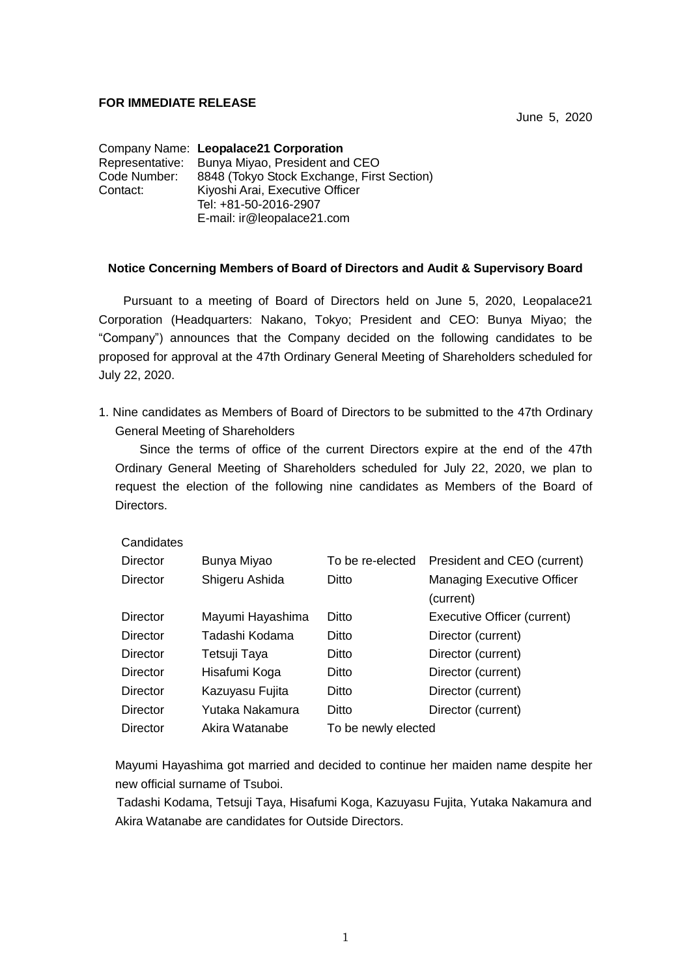### **FOR IMMEDIATE RELEASE**

June 5, 2020

Company Name: **Leopalace21 Corporation** Representative: Bunya Miyao, President and CEO Code Number: 8848 (Tokyo Stock Exchange, First Section)<br>Contact: Kivoshi Arai. Executive Officer Kiyoshi Arai, Executive Officer Tel: +81-50-2016-2907 E-mail: ir@leopalace21.com

### **Notice Concerning Members of Board of Directors and Audit & Supervisory Board**

Pursuant to a meeting of Board of Directors held on June 5, 2020, Leopalace21 Corporation (Headquarters: Nakano, Tokyo; President and CEO: Bunya Miyao; the "Company") announces that the Company decided on the following candidates to be proposed for approval at the 47th Ordinary General Meeting of Shareholders scheduled for July 22, 2020.

1. Nine candidates as Members of Board of Directors to be submitted to the 47th Ordinary General Meeting of Shareholders

Since the terms of office of the current Directors expire at the end of the 47th Ordinary General Meeting of Shareholders scheduled for July 22, 2020, we plan to request the election of the following nine candidates as Members of the Board of **Directors** 

| Candidates |                  |                     |                                                |
|------------|------------------|---------------------|------------------------------------------------|
| Director   | Bunya Miyao      | To be re-elected    | President and CEO (current)                    |
| Director   | Shigeru Ashida   | Ditto               | <b>Managing Executive Officer</b><br>(current) |
| Director   | Mayumi Hayashima | Ditto               | Executive Officer (current)                    |
| Director   | Tadashi Kodama   | Ditto               | Director (current)                             |
| Director   | Tetsuji Taya     | Ditto               | Director (current)                             |
| Director   | Hisafumi Koga    | Ditto               | Director (current)                             |
| Director   | Kazuyasu Fujita  | Ditto               | Director (current)                             |
| Director   | Yutaka Nakamura  | Ditto               | Director (current)                             |
| Director   | Akira Watanabe   | To be newly elected |                                                |

Mayumi Hayashima got married and decided to continue her maiden name despite her new official surname of Tsuboi.

Tadashi Kodama, Tetsuji Taya, Hisafumi Koga, Kazuyasu Fujita, Yutaka Nakamura and Akira Watanabe are candidates for Outside Directors.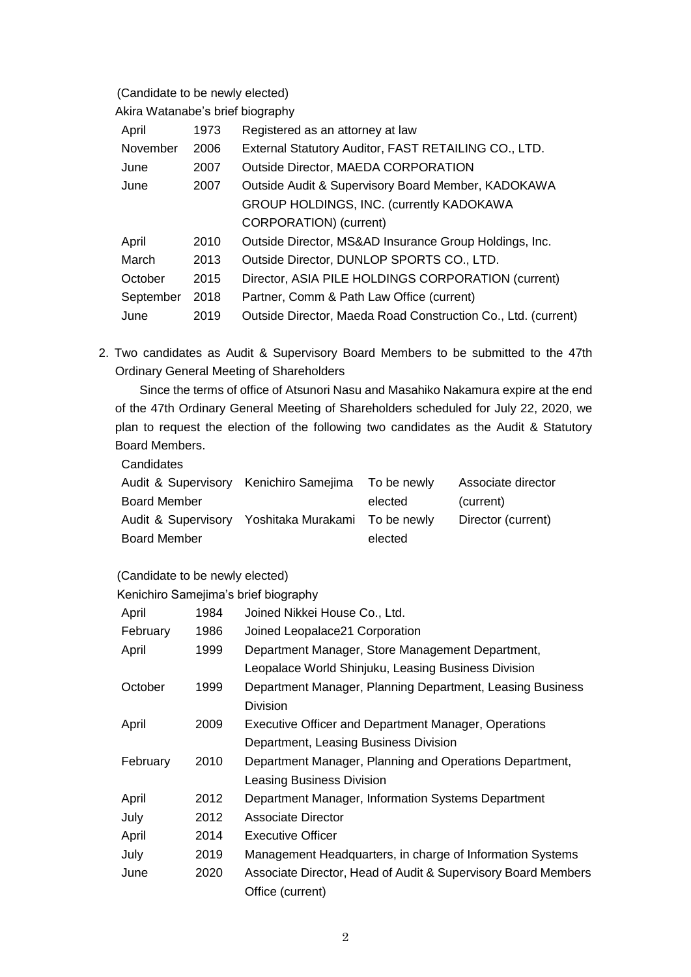# (Candidate to be newly elected)

Akira Watanabe's brief biography

| April     | 1973 | Registered as an attorney at law                              |
|-----------|------|---------------------------------------------------------------|
| November  | 2006 | External Statutory Auditor, FAST RETAILING CO., LTD.          |
| June      | 2007 | Outside Director, MAEDA CORPORATION                           |
| June      | 2007 | Outside Audit & Supervisory Board Member, KADOKAWA            |
|           |      | GROUP HOLDINGS, INC. (currently KADOKAWA                      |
|           |      | CORPORATION) (current)                                        |
| April     | 2010 | Outside Director, MS&AD Insurance Group Holdings, Inc.        |
| March     | 2013 | Outside Director, DUNLOP SPORTS CO., LTD.                     |
| October   | 2015 | Director, ASIA PILE HOLDINGS CORPORATION (current)            |
| September | 2018 | Partner, Comm & Path Law Office (current)                     |
| June      | 2019 | Outside Director, Maeda Road Construction Co., Ltd. (current) |

2. Two candidates as Audit & Supervisory Board Members to be submitted to the 47th Ordinary General Meeting of Shareholders

Since the terms of office of Atsunori Nasu and Masahiko Nakamura expire at the end of the 47th Ordinary General Meeting of Shareholders scheduled for July 22, 2020, we plan to request the election of the following two candidates as the Audit & Statutory Board Members.

**Candidates** 

|         | Associate director                                                                                       |
|---------|----------------------------------------------------------------------------------------------------------|
| elected | (current)                                                                                                |
|         | Director (current)                                                                                       |
| elected |                                                                                                          |
|         | Audit & Supervisory Kenichiro Samejima To be newly<br>Audit & Supervisory Yoshitaka Murakami To be newly |

#### (Candidate to be newly elected)

Kenichiro Samejima's brief biography

| April    | 1984 | Joined Nikkei House Co., Ltd.                                 |
|----------|------|---------------------------------------------------------------|
| February | 1986 | Joined Leopalace21 Corporation                                |
| April    | 1999 | Department Manager, Store Management Department,              |
|          |      | Leopalace World Shinjuku, Leasing Business Division           |
| October  | 1999 | Department Manager, Planning Department, Leasing Business     |
|          |      | Division                                                      |
| April    | 2009 | <b>Executive Officer and Department Manager, Operations</b>   |
|          |      | Department, Leasing Business Division                         |
| February | 2010 | Department Manager, Planning and Operations Department,       |
|          |      | <b>Leasing Business Division</b>                              |
| April    | 2012 | Department Manager, Information Systems Department            |
| July     | 2012 | <b>Associate Director</b>                                     |
| April    | 2014 | Executive Officer                                             |
| July     | 2019 | Management Headquarters, in charge of Information Systems     |
| June     | 2020 | Associate Director, Head of Audit & Supervisory Board Members |
|          |      | Office (current)                                              |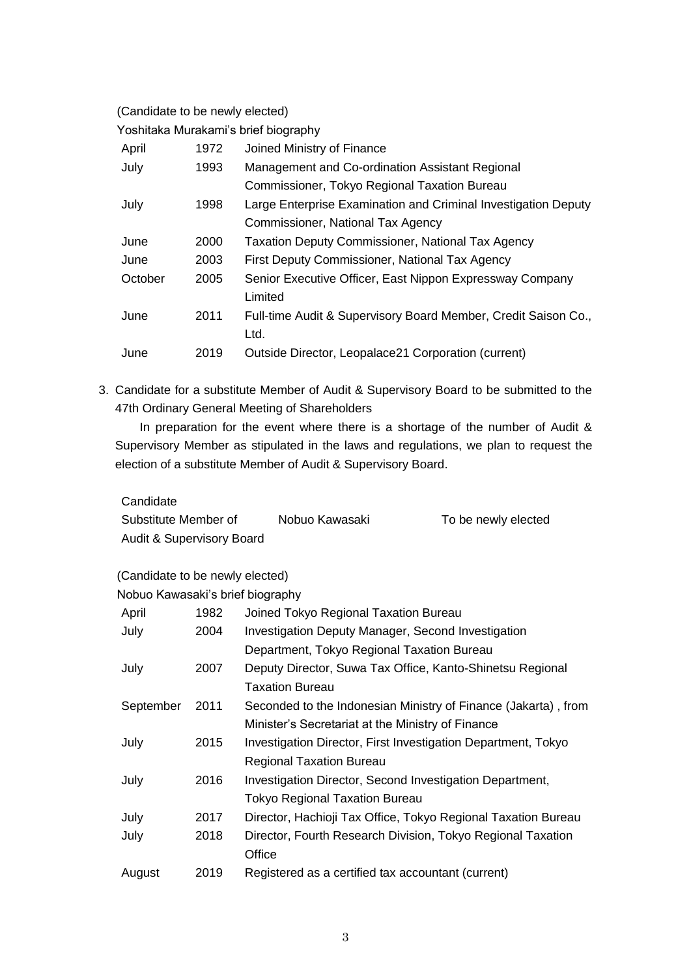(Candidate to be newly elected)

Yoshitaka Murakami's brief biography

| April   | 1972 | Joined Ministry of Finance                                     |
|---------|------|----------------------------------------------------------------|
| July    | 1993 | Management and Co-ordination Assistant Regional                |
|         |      | Commissioner, Tokyo Regional Taxation Bureau                   |
| July    | 1998 | Large Enterprise Examination and Criminal Investigation Deputy |
|         |      | Commissioner, National Tax Agency                              |
| June    | 2000 | <b>Taxation Deputy Commissioner, National Tax Agency</b>       |
| June    | 2003 | First Deputy Commissioner, National Tax Agency                 |
| October | 2005 | Senior Executive Officer, East Nippon Expressway Company       |
|         |      | Limited                                                        |
| June    | 2011 | Full-time Audit & Supervisory Board Member, Credit Saison Co., |
|         |      | Ltd.                                                           |
| June    | 2019 | Outside Director, Leopalace21 Corporation (current)            |

3. Candidate for a substitute Member of Audit & Supervisory Board to be submitted to the 47th Ordinary General Meeting of Shareholders

In preparation for the event where there is a shortage of the number of Audit & Supervisory Member as stipulated in the laws and regulations, we plan to request the election of a substitute Member of Audit & Supervisory Board.

Candidate

| Substitute Member of      | Nobuo Kawasaki | To be newly elected |
|---------------------------|----------------|---------------------|
| Audit & Supervisory Board |                |                     |

(Candidate to be newly elected)

Nobuo Kawasaki's brief biography

| April     | 1982 | Joined Tokyo Regional Taxation Bureau                          |
|-----------|------|----------------------------------------------------------------|
| July      | 2004 | Investigation Deputy Manager, Second Investigation             |
|           |      | Department, Tokyo Regional Taxation Bureau                     |
| July      | 2007 | Deputy Director, Suwa Tax Office, Kanto-Shinetsu Regional      |
|           |      | <b>Taxation Bureau</b>                                         |
| September | 2011 | Seconded to the Indonesian Ministry of Finance (Jakarta), from |
|           |      | Minister's Secretariat at the Ministry of Finance              |
| July      | 2015 | Investigation Director, First Investigation Department, Tokyo  |
|           |      | <b>Regional Taxation Bureau</b>                                |
| July      | 2016 | Investigation Director, Second Investigation Department,       |
|           |      | <b>Tokyo Regional Taxation Bureau</b>                          |
| July      | 2017 | Director, Hachioji Tax Office, Tokyo Regional Taxation Bureau  |
| July      | 2018 | Director, Fourth Research Division, Tokyo Regional Taxation    |
|           |      | Office                                                         |
| August    | 2019 | Registered as a certified tax accountant (current)             |